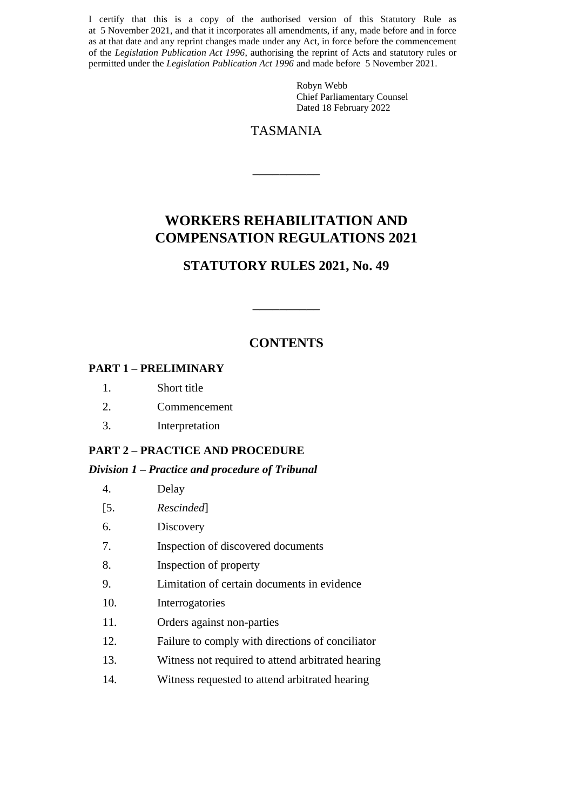I certify that this is a copy of the authorised version of this Statutory Rule as at 5 November 2021, and that it incorporates all amendments, if any, made before and in force as at that date and any reprint changes made under any Act, in force before the commencement of the *Legislation Publication Act 1996*, authorising the reprint of Acts and statutory rules or permitted under the *Legislation Publication Act 1996* and made before 5 November 2021.

> Robyn Webb Chief Parliamentary Counsel Dated 18 February 2022

## TASMANIA

 $\overline{\phantom{a}}$  , we can also the contract of  $\overline{\phantom{a}}$ 

# **WORKERS REHABILITATION AND COMPENSATION REGULATIONS 2021**

## **STATUTORY RULES 2021, No. 49**

## **CONTENTS**

 $\overline{\phantom{a}}$  , we can also the contract of  $\overline{\phantom{a}}$ 

#### **PART 1 – PRELIMINARY**

- 1. Short title
- 2. Commencement
- 3. Interpretation

#### **PART 2 – PRACTICE AND PROCEDURE**

#### *Division 1 – Practice and procedure of Tribunal*

| 4. | Delay |
|----|-------|
|    |       |

- [5. *Rescinded*]
- 6. Discovery
- 7. Inspection of discovered documents
- 8. Inspection of property
- 9. Limitation of certain documents in evidence
- 10. Interrogatories
- 11. Orders against non-parties
- 12. Failure to comply with directions of conciliator
- 13. Witness not required to attend arbitrated hearing
- 14. Witness requested to attend arbitrated hearing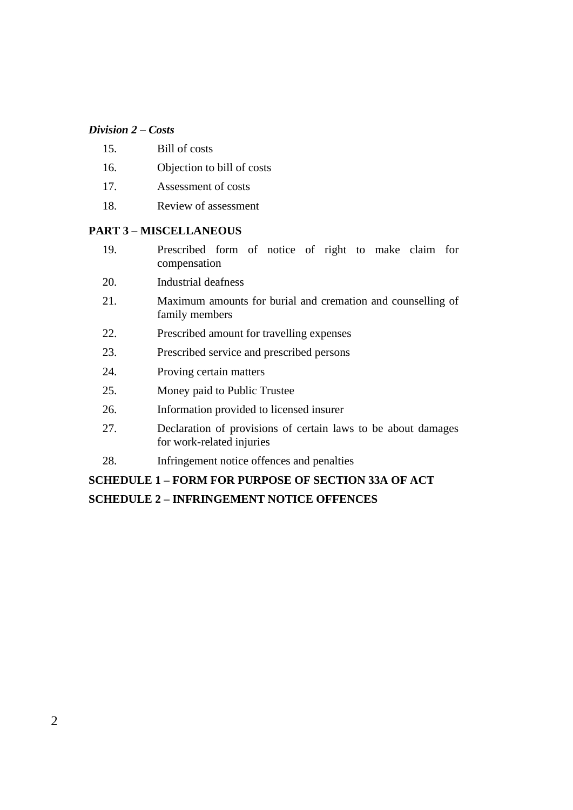#### *Division 2 – Costs*

- 15. Bill of costs
- 16. Objection to bill of costs
- 17. Assessment of costs
- 18. Review of assessment

#### **PART 3 – MISCELLANEOUS**

- 19. Prescribed form of notice of right to make claim for compensation
- 20. Industrial deafness
- 21. Maximum amounts for burial and cremation and counselling of family members
- 22. Prescribed amount for travelling expenses
- 23. Prescribed service and prescribed persons
- 24. Proving certain matters
- 25. Money paid to Public Trustee
- 26. Information provided to licensed insurer
- 27. Declaration of provisions of certain laws to be about damages for work-related injuries
- 28. Infringement notice offences and penalties

# **SCHEDULE 1 – FORM FOR PURPOSE OF SECTION 33A OF ACT SCHEDULE 2 – INFRINGEMENT NOTICE OFFENCES**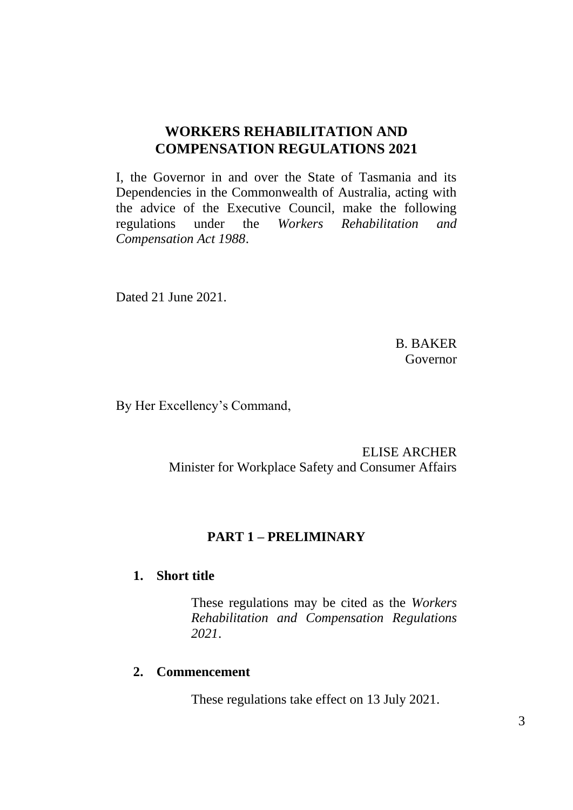## **WORKERS REHABILITATION AND COMPENSATION REGULATIONS 2021**

I, the Governor in and over the State of Tasmania and its Dependencies in the Commonwealth of Australia, acting with the advice of the Executive Council, make the following regulations under the *Workers Rehabilitation and Compensation Act 1988*.

Dated 21 June 2021.

B. BAKER Governor

By Her Excellency's Command,

ELISE ARCHER Minister for Workplace Safety and Consumer Affairs

## **PART 1 – PRELIMINARY**

#### **1. Short title**

These regulations may be cited as the *Workers Rehabilitation and Compensation Regulations 2021*.

### **2. Commencement**

These regulations take effect on 13 July 2021.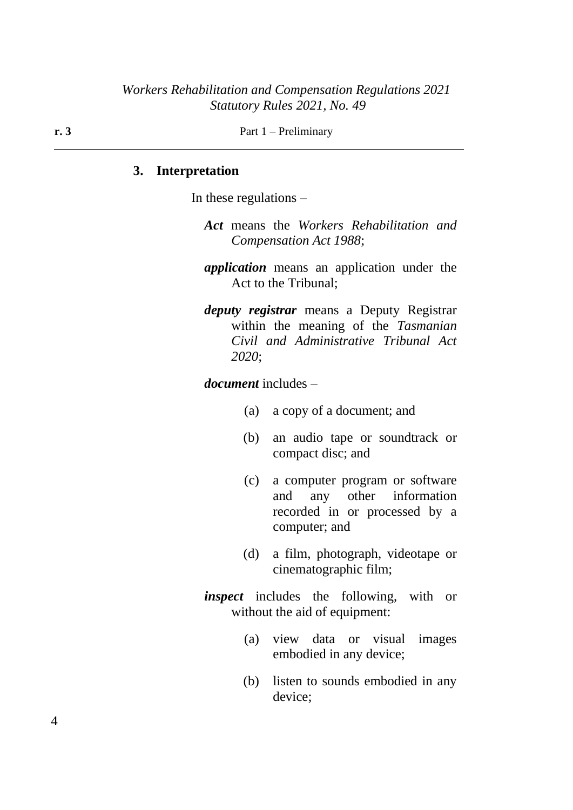**r. 3** Part 1 – Preliminary

#### **3. Interpretation**

In these regulations –

- *Act* means the *Workers Rehabilitation and Compensation Act 1988*;
- *application* means an application under the Act to the Tribunal;
- *deputy registrar* means a Deputy Registrar within the meaning of the *Tasmanian Civil and Administrative Tribunal Act 2020*;

*document* includes –

- (a) a copy of a document; and
- (b) an audio tape or soundtrack or compact disc; and
- (c) a computer program or software and any other information recorded in or processed by a computer; and
- (d) a film, photograph, videotape or cinematographic film;
- *inspect* includes the following, with or without the aid of equipment:
	- (a) view data or visual images embodied in any device;
	- (b) listen to sounds embodied in any device;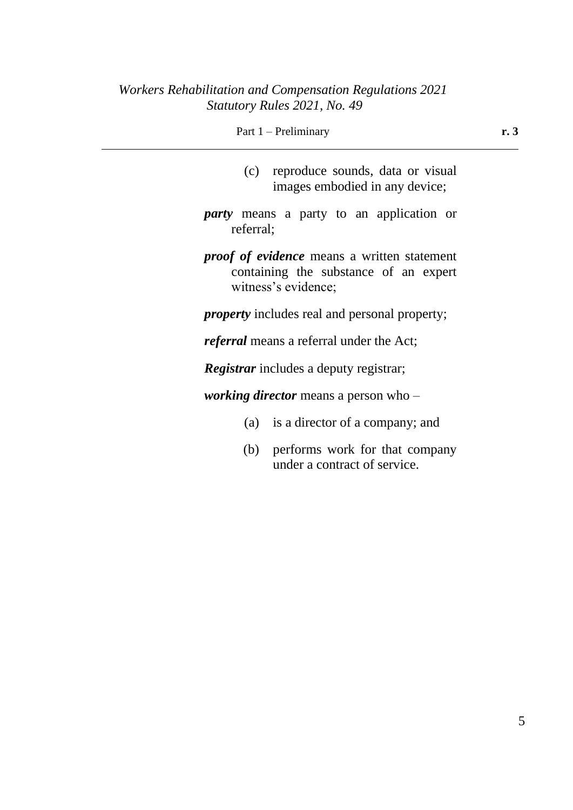| Part 1 – Preliminary |  |
|----------------------|--|
|                      |  |

- (c) reproduce sounds, data or visual images embodied in any device;
- *party* means a party to an application or referral;
- *proof of evidence* means a written statement containing the substance of an expert witness's evidence;
- *property* includes real and personal property;

*referral* means a referral under the Act;

*Registrar* includes a deputy registrar;

*working director* means a person who –

- (a) is a director of a company; and
- (b) performs work for that company under a contract of service.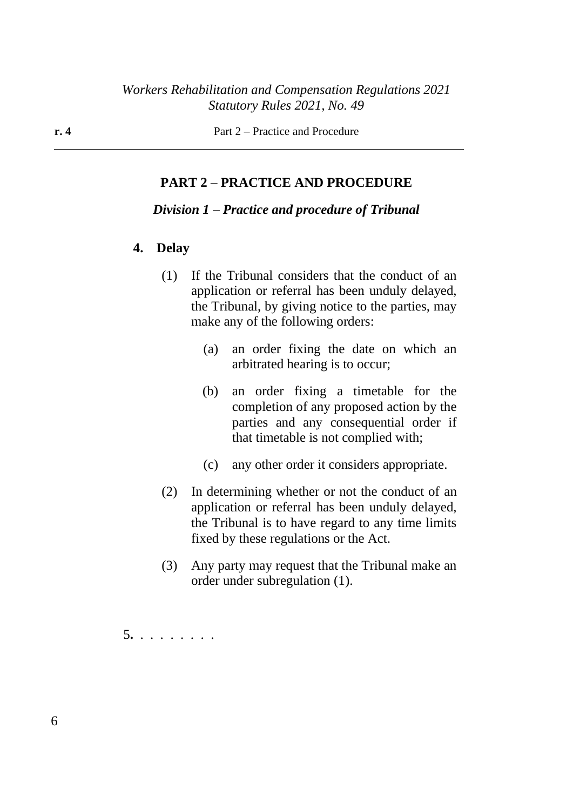**r. 4** Part 2 – Practice and Procedure

#### **PART 2 – PRACTICE AND PROCEDURE**

#### *Division 1 – Practice and procedure of Tribunal*

#### **4. Delay**

- (1) If the Tribunal considers that the conduct of an application or referral has been unduly delayed, the Tribunal, by giving notice to the parties, may make any of the following orders:
	- (a) an order fixing the date on which an arbitrated hearing is to occur;
	- (b) an order fixing a timetable for the completion of any proposed action by the parties and any consequential order if that timetable is not complied with;
	- (c) any other order it considers appropriate.
- (2) In determining whether or not the conduct of an application or referral has been unduly delayed, the Tribunal is to have regard to any time limits fixed by these regulations or the Act.
- (3) Any party may request that the Tribunal make an order under subregulation (1).

5**.** . . . . . . . .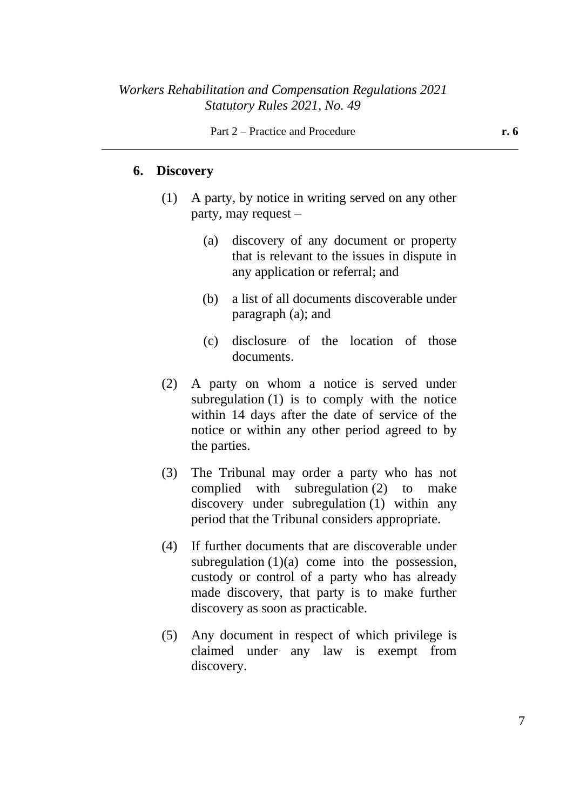#### **6. Discovery**

- (1) A party, by notice in writing served on any other party, may request –
	- (a) discovery of any document or property that is relevant to the issues in dispute in any application or referral; and
	- (b) a list of all documents discoverable under paragraph (a); and
	- (c) disclosure of the location of those documents.
- (2) A party on whom a notice is served under subregulation (1) is to comply with the notice within 14 days after the date of service of the notice or within any other period agreed to by the parties.
- (3) The Tribunal may order a party who has not complied with subregulation (2) to make discovery under subregulation (1) within any period that the Tribunal considers appropriate.
- (4) If further documents that are discoverable under subregulation  $(1)(a)$  come into the possession, custody or control of a party who has already made discovery, that party is to make further discovery as soon as practicable.
- (5) Any document in respect of which privilege is claimed under any law is exempt from discovery.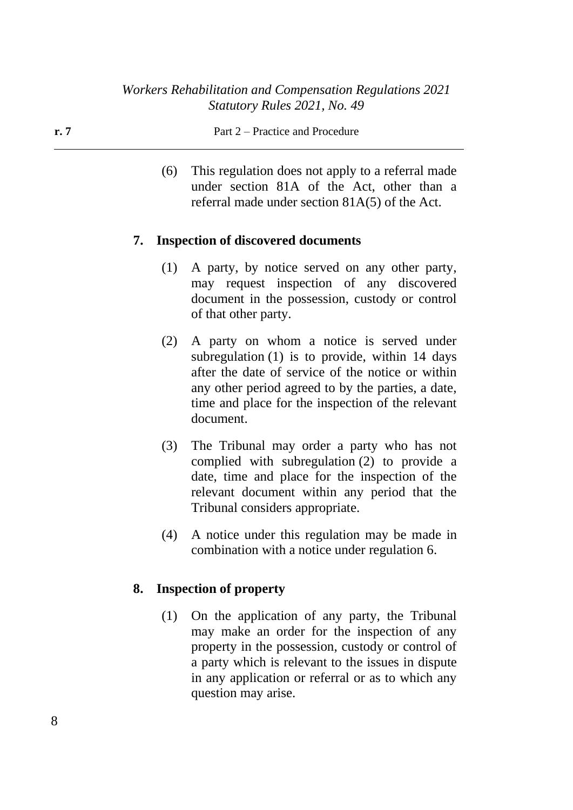**r. 7** Part 2 – Practice and Procedure

(6) This regulation does not apply to a referral made under section 81A of the Act, other than a referral made under section 81A(5) of the Act.

### **7. Inspection of discovered documents**

- (1) A party, by notice served on any other party, may request inspection of any discovered document in the possession, custody or control of that other party.
- (2) A party on whom a notice is served under subregulation (1) is to provide, within 14 days after the date of service of the notice or within any other period agreed to by the parties, a date, time and place for the inspection of the relevant document.
- (3) The Tribunal may order a party who has not complied with subregulation (2) to provide a date, time and place for the inspection of the relevant document within any period that the Tribunal considers appropriate.
- (4) A notice under this regulation may be made in combination with a notice under regulation 6.

#### **8. Inspection of property**

(1) On the application of any party, the Tribunal may make an order for the inspection of any property in the possession, custody or control of a party which is relevant to the issues in dispute in any application or referral or as to which any question may arise.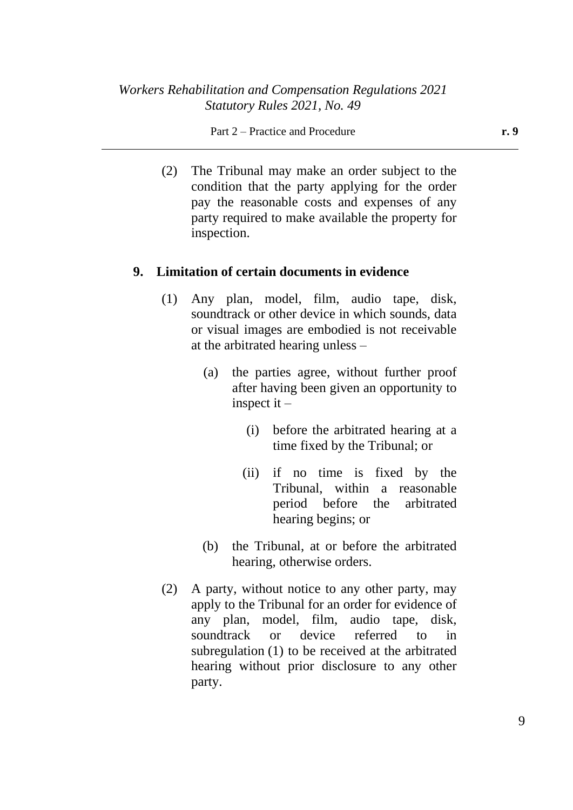#### Part 2 – Practice and Procedure **r. 9**

(2) The Tribunal may make an order subject to the condition that the party applying for the order pay the reasonable costs and expenses of any party required to make available the property for inspection.

#### **9. Limitation of certain documents in evidence**

- (1) Any plan, model, film, audio tape, disk, soundtrack or other device in which sounds, data or visual images are embodied is not receivable at the arbitrated hearing unless –
	- (a) the parties agree, without further proof after having been given an opportunity to inspect it –
		- (i) before the arbitrated hearing at a time fixed by the Tribunal; or
		- (ii) if no time is fixed by the Tribunal, within a reasonable period before the arbitrated hearing begins; or
	- (b) the Tribunal, at or before the arbitrated hearing, otherwise orders.
- (2) A party, without notice to any other party, may apply to the Tribunal for an order for evidence of any plan, model, film, audio tape, disk, soundtrack or device referred to in subregulation (1) to be received at the arbitrated hearing without prior disclosure to any other party.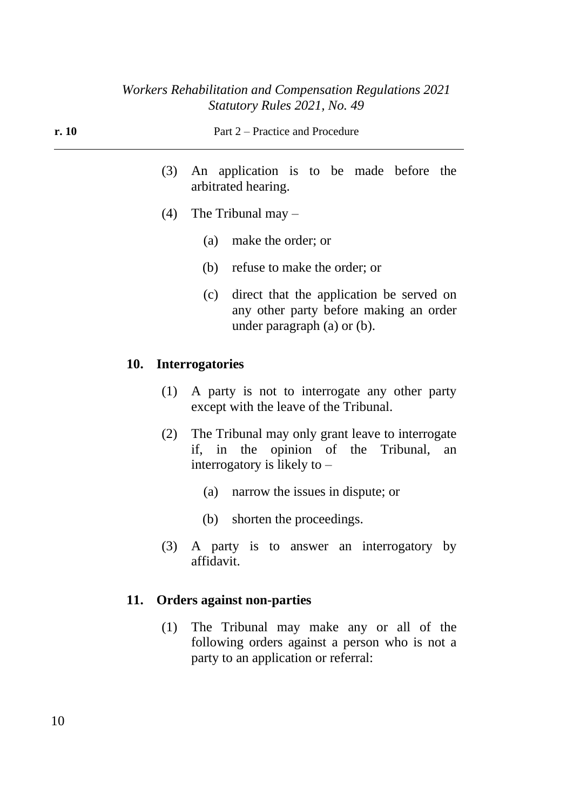| r. 10 |  | Part 2 – Practice and Procedure                                    |  |  |  |
|-------|--|--------------------------------------------------------------------|--|--|--|
|       |  | (3) An application is to be made before the<br>arbitrated hearing. |  |  |  |

- (4) The Tribunal may
	- (a) make the order; or
	- (b) refuse to make the order; or
	- (c) direct that the application be served on any other party before making an order under paragraph (a) or (b).

### **10. Interrogatories**

- (1) A party is not to interrogate any other party except with the leave of the Tribunal.
- (2) The Tribunal may only grant leave to interrogate if, in the opinion of the Tribunal, an interrogatory is likely to –
	- (a) narrow the issues in dispute; or
	- (b) shorten the proceedings.
- (3) A party is to answer an interrogatory by affidavit.

### **11. Orders against non-parties**

(1) The Tribunal may make any or all of the following orders against a person who is not a party to an application or referral: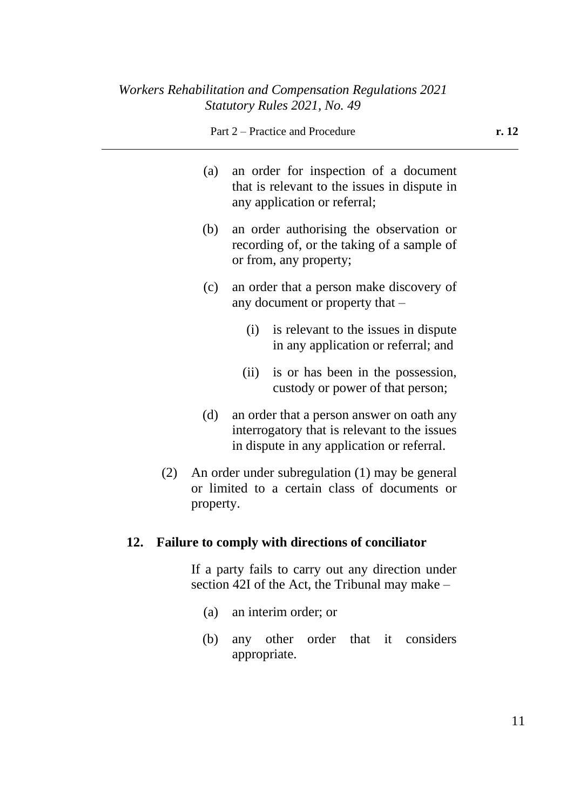- (a) an order for inspection of a document that is relevant to the issues in dispute in any application or referral;
- (b) an order authorising the observation or recording of, or the taking of a sample of or from, any property;
- (c) an order that a person make discovery of any document or property that –
	- (i) is relevant to the issues in dispute in any application or referral; and
	- (ii) is or has been in the possession, custody or power of that person;
- (d) an order that a person answer on oath any interrogatory that is relevant to the issues in dispute in any application or referral.
- (2) An order under subregulation (1) may be general or limited to a certain class of documents or property.

### **12. Failure to comply with directions of conciliator**

If a party fails to carry out any direction under section 42I of the Act, the Tribunal may make –

- (a) an interim order; or
- (b) any other order that it considers appropriate.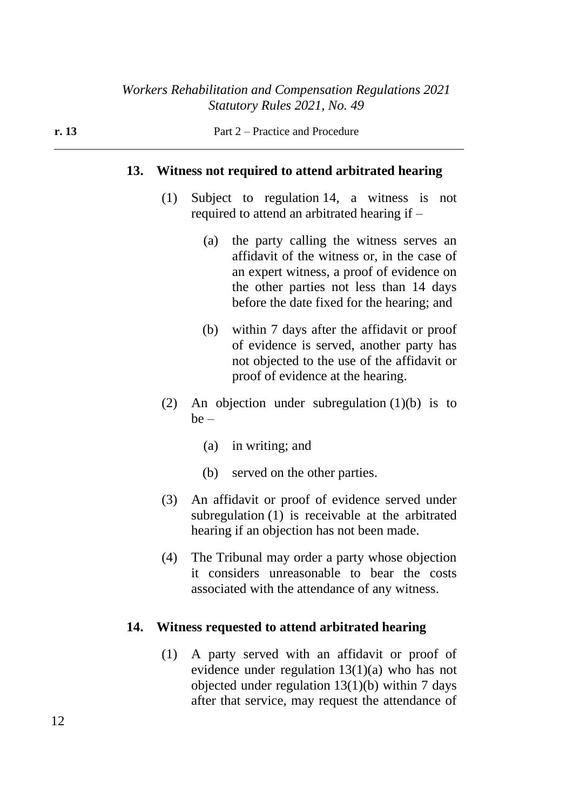### **13. Witness not required to attend arbitrated hearing**

- (1) Subject to regulation 14, a witness is not required to attend an arbitrated hearing if –
	- (a) the party calling the witness serves an affidavit of the witness or, in the case of an expert witness, a proof of evidence on the other parties not less than 14 days before the date fixed for the hearing; and
	- (b) within 7 days after the affidavit or proof of evidence is served, another party has not objected to the use of the affidavit or proof of evidence at the hearing.
- (2) An objection under subregulation (1)(b) is to  $be -$ 
	- (a) in writing; and
	- (b) served on the other parties.
- (3) An affidavit or proof of evidence served under subregulation (1) is receivable at the arbitrated hearing if an objection has not been made.
- (4) The Tribunal may order a party whose objection it considers unreasonable to bear the costs associated with the attendance of any witness.

### **14. Witness requested to attend arbitrated hearing**

(1) A party served with an affidavit or proof of evidence under regulation 13(1)(a) who has not objected under regulation 13(1)(b) within 7 days after that service, may request the attendance of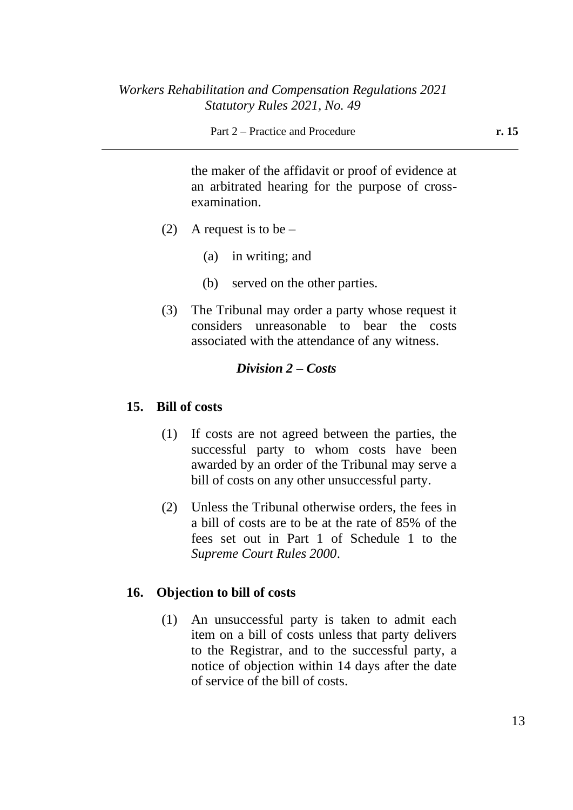the maker of the affidavit or proof of evidence at an arbitrated hearing for the purpose of crossexamination.

- (2) A request is to be  $-$ 
	- (a) in writing; and
	- (b) served on the other parties.
- (3) The Tribunal may order a party whose request it considers unreasonable to bear the costs associated with the attendance of any witness.

### *Division 2 – Costs*

### **15. Bill of costs**

- (1) If costs are not agreed between the parties, the successful party to whom costs have been awarded by an order of the Tribunal may serve a bill of costs on any other unsuccessful party.
- (2) Unless the Tribunal otherwise orders, the fees in a bill of costs are to be at the rate of 85% of the fees set out in Part 1 of Schedule 1 to the *Supreme Court Rules 2000*.

### **16. Objection to bill of costs**

(1) An unsuccessful party is taken to admit each item on a bill of costs unless that party delivers to the Registrar, and to the successful party, a notice of objection within 14 days after the date of service of the bill of costs.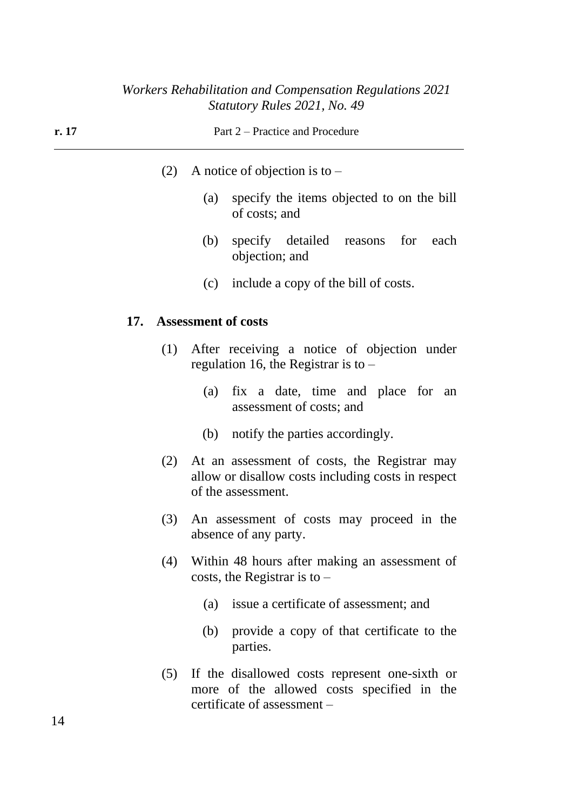| r. 17 |     |     |                                        | Part 2 – Practice and Procedure                                                                    |      |
|-------|-----|-----|----------------------------------------|----------------------------------------------------------------------------------------------------|------|
|       |     | (2) | A notice of objection is to $-$        |                                                                                                    |      |
|       |     |     | (a)<br>of costs; and                   | specify the items objected to on the bill                                                          |      |
|       |     |     | (b)<br>objection; and                  | specify detailed reasons for                                                                       | each |
|       |     |     |                                        | (c) include a copy of the bill of costs.                                                           |      |
|       | 17. |     | <b>Assessment of costs</b>             |                                                                                                    |      |
|       |     | (1) | regulation 16, the Registrar is to $-$ | After receiving a notice of objection under                                                        |      |
|       |     |     | (a)                                    | fix a date, time and place for an<br>assessment of costs; and                                      |      |
|       |     |     | (b)                                    | notify the parties accordingly.                                                                    |      |
|       |     | (2) | of the assessment.                     | At an assessment of costs, the Registrar may<br>allow or disallow costs including costs in respect |      |
|       |     | (3) | absence of any party.                  | An assessment of costs may proceed in the                                                          |      |
|       |     | (4) | costs, the Registrar is to $-$         | Within 48 hours after making an assessment of                                                      |      |
|       |     |     | (a)                                    | issue a certificate of assessment; and                                                             |      |
|       |     |     |                                        |                                                                                                    |      |

- (b) provide a copy of that certificate to the parties.
- (5) If the disallowed costs represent one-sixth or more of the allowed costs specified in the certificate of assessment –

14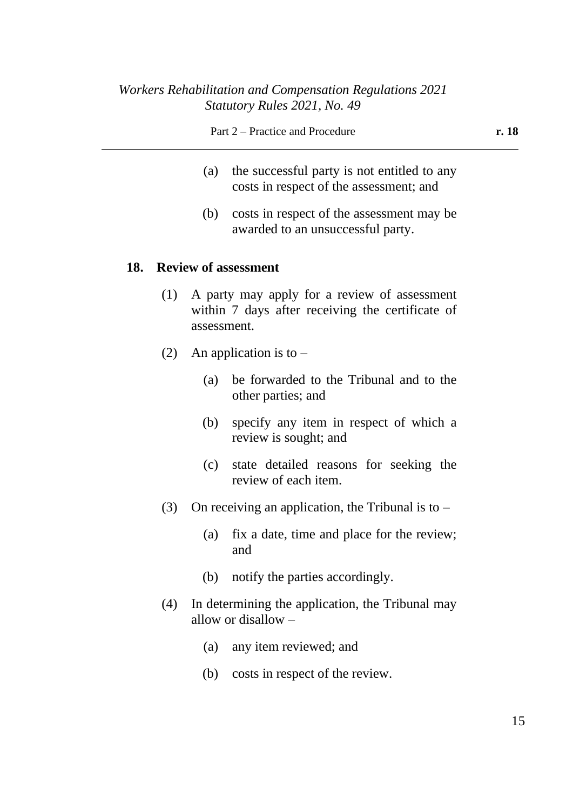- (a) the successful party is not entitled to any costs in respect of the assessment; and
- (b) costs in respect of the assessment may be awarded to an unsuccessful party.

#### **18. Review of assessment**

- (1) A party may apply for a review of assessment within 7 days after receiving the certificate of assessment.
- (2) An application is to  $-$ 
	- (a) be forwarded to the Tribunal and to the other parties; and
	- (b) specify any item in respect of which a review is sought; and
	- (c) state detailed reasons for seeking the review of each item.
- (3) On receiving an application, the Tribunal is to  $-$ 
	- (a) fix a date, time and place for the review; and
	- (b) notify the parties accordingly.
- (4) In determining the application, the Tribunal may allow or disallow –
	- (a) any item reviewed; and
	- (b) costs in respect of the review.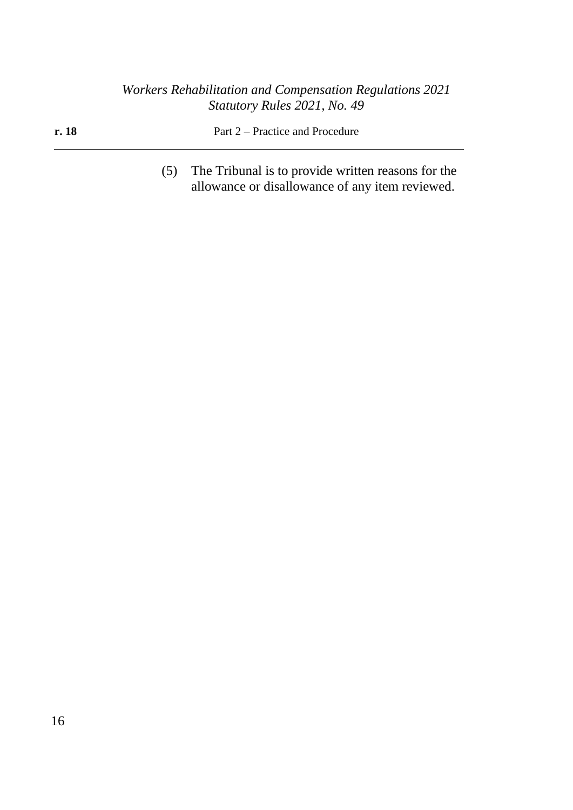| r. 18 | Part 2 – Practice and Procedure |
|-------|---------------------------------|
|       |                                 |

(5) The Tribunal is to provide written reasons for the allowance or disallowance of any item reviewed.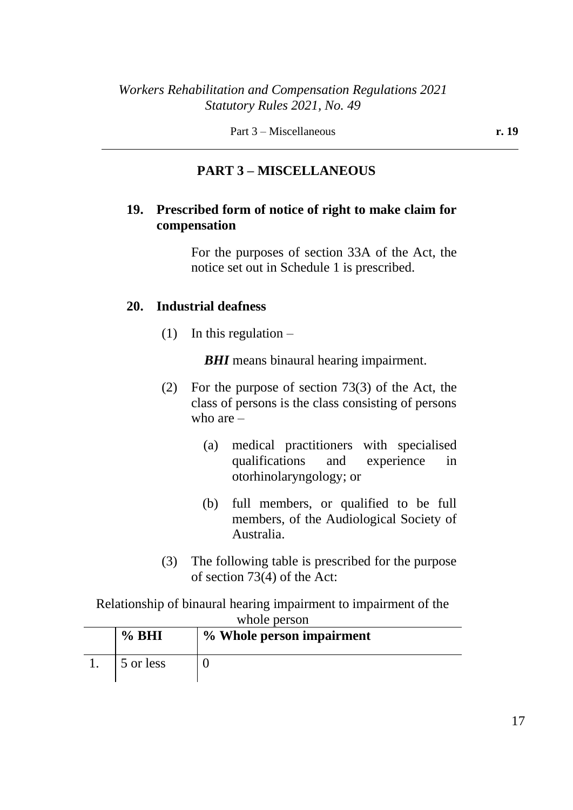Part 3 – Miscellaneous **r. 19** 

## **PART 3 – MISCELLANEOUS**

## **19. Prescribed form of notice of right to make claim for compensation**

For the purposes of section 33A of the Act, the notice set out in Schedule 1 is prescribed.

## **20. Industrial deafness**

(1) In this regulation  $-$ 

*BHI* means binaural hearing impairment.

- (2) For the purpose of section 73(3) of the Act, the class of persons is the class consisting of persons who are  $-$ 
	- (a) medical practitioners with specialised qualifications and experience in otorhinolaryngology; or
	- (b) full members, or qualified to be full members, of the Audiological Society of Australia.
- (3) The following table is prescribed for the purpose of section 73(4) of the Act:

### Relationship of binaural hearing impairment to impairment of the whole person

| $\%$ BHI  | % Whole person impairment |
|-----------|---------------------------|
| 5 or less |                           |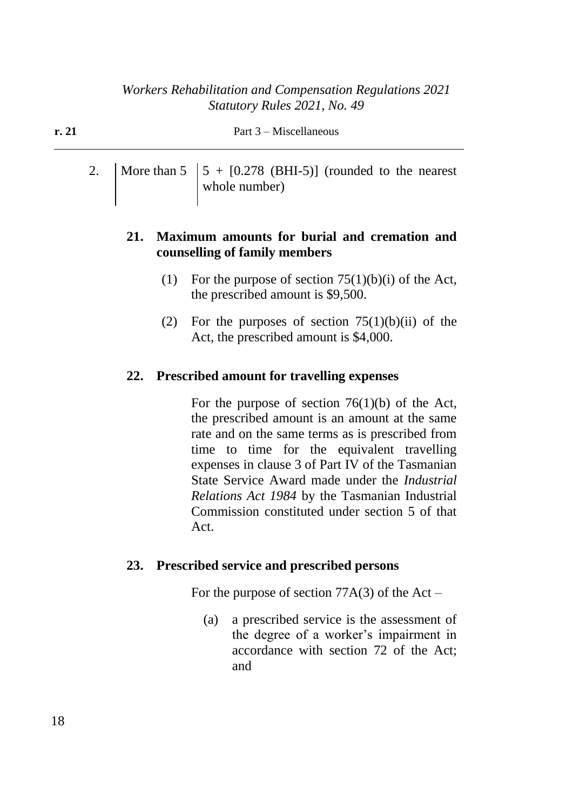| r. 21 | Part 3 – Miscellaneous |                                                                           |  |
|-------|------------------------|---------------------------------------------------------------------------|--|
|       |                        | 2. More than $5 \mid 5 + [0.278 \text{ (BHI-5)}]$ (rounded to the nearest |  |

whole number)

## **21. Maximum amounts for burial and cremation and counselling of family members**

- (1) For the purpose of section  $75(1)(b)(i)$  of the Act, the prescribed amount is \$9,500.
- (2) For the purposes of section  $75(1)(b)(ii)$  of the Act, the prescribed amount is \$4,000.

## **22. Prescribed amount for travelling expenses**

For the purpose of section  $76(1)(b)$  of the Act, the prescribed amount is an amount at the same rate and on the same terms as is prescribed from time to time for the equivalent travelling expenses in clause 3 of Part IV of the Tasmanian State Service Award made under the *Industrial Relations Act 1984* by the Tasmanian Industrial Commission constituted under section 5 of that Act.

### **23. Prescribed service and prescribed persons**

For the purpose of section  $77A(3)$  of the Act –

(a) a prescribed service is the assessment of the degree of a worker's impairment in accordance with section 72 of the Act; and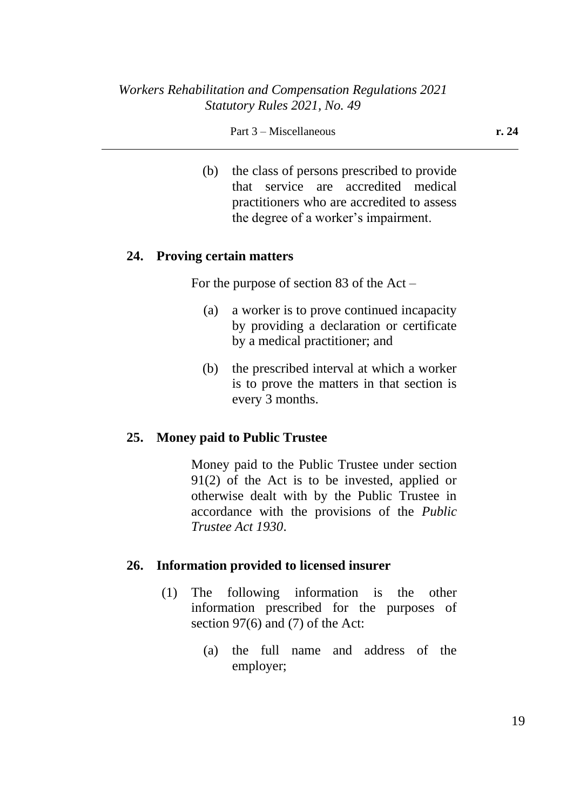#### Part 3 – Miscellaneous **r. 24**

(b) the class of persons prescribed to provide that service are accredited medical practitioners who are accredited to assess the degree of a worker's impairment.

#### **24. Proving certain matters**

For the purpose of section 83 of the Act –

- (a) a worker is to prove continued incapacity by providing a declaration or certificate by a medical practitioner; and
- (b) the prescribed interval at which a worker is to prove the matters in that section is every 3 months.

### **25. Money paid to Public Trustee**

Money paid to the Public Trustee under section 91(2) of the Act is to be invested, applied or otherwise dealt with by the Public Trustee in accordance with the provisions of the *Public Trustee Act 1930*.

### **26. Information provided to licensed insurer**

- (1) The following information is the other information prescribed for the purposes of section 97(6) and (7) of the Act:
	- (a) the full name and address of the employer;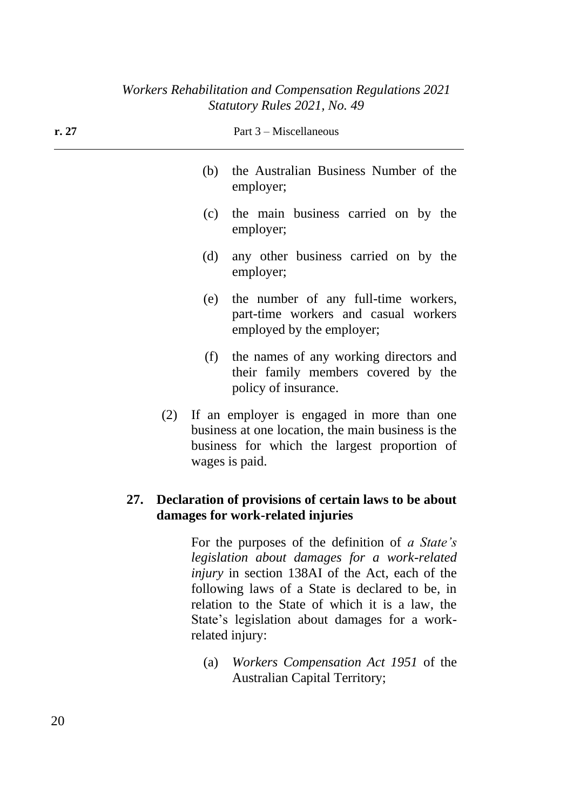| r.27 |     |     | Part $3$ – Miscellaneous                                                                                                                                           |
|------|-----|-----|--------------------------------------------------------------------------------------------------------------------------------------------------------------------|
|      |     | (b) | the Australian Business Number of the<br>employer;                                                                                                                 |
|      |     | (c) | the main business carried on by the<br>employer;                                                                                                                   |
|      |     | (d) | any other business carried on by the<br>employer;                                                                                                                  |
|      |     | (e) | the number of any full-time workers,<br>part-time workers and casual workers<br>employed by the employer;                                                          |
|      |     | (f) | the names of any working directors and<br>their family members covered by the<br>policy of insurance.                                                              |
|      | (2) |     | If an employer is engaged in more than one<br>business at one location, the main business is the<br>business for which the largest proportion of<br>wages is paid. |
| 27.  |     |     | Declaration of provisions of certain laws to be about<br>damages for work-related injuries                                                                         |

For the purposes of the definition of *a State's legislation about damages for a work-related injury* in section 138AI of the Act, each of the following laws of a State is declared to be, in relation to the State of which it is a law, the State's legislation about damages for a workrelated injury:

(a) *Workers Compensation Act 1951* of the Australian Capital Territory;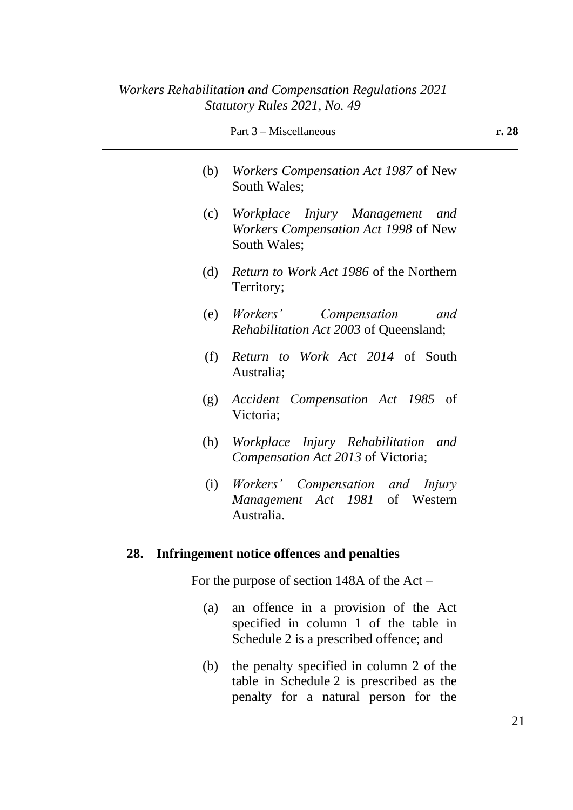|     | Part 3 – Miscellaneous                                                                  | r. 28 |
|-----|-----------------------------------------------------------------------------------------|-------|
| (b) | <i>Workers Compensation Act 1987</i> of New<br><b>South Wales:</b>                      |       |
| (c) | Workplace Injury Management and<br>Workers Compensation Act 1998 of New<br>South Wales; |       |
| (d) | <i>Return to Work Act 1986</i> of the Northern<br>Territory;                            |       |
| (e) | Workers'<br>Compensation<br>and<br><i>Rehabilitation Act 2003</i> of Queensland;        |       |
| (f) | <i>Return to Work Act 2014</i> of South<br>Australia;                                   |       |
| (g) | Accident Compensation Act 1985 of<br>Victoria;                                          |       |
| (h) | Workplace Injury Rehabilitation<br>and<br>Compensation Act 2013 of Victoria;            |       |
| (i) | Workers' Compensation and Injury<br>Management Act 1981 of Western<br>Australia.        |       |
| 28. | Infringement notice offences and penalties                                              |       |
|     |                                                                                         |       |

For the purpose of section 148A of the Act –

- (a) an offence in a provision of the Act specified in column 1 of the table in Schedule 2 is a prescribed offence; and
- (b) the penalty specified in column 2 of the table in Schedule 2 is prescribed as the penalty for a natural person for the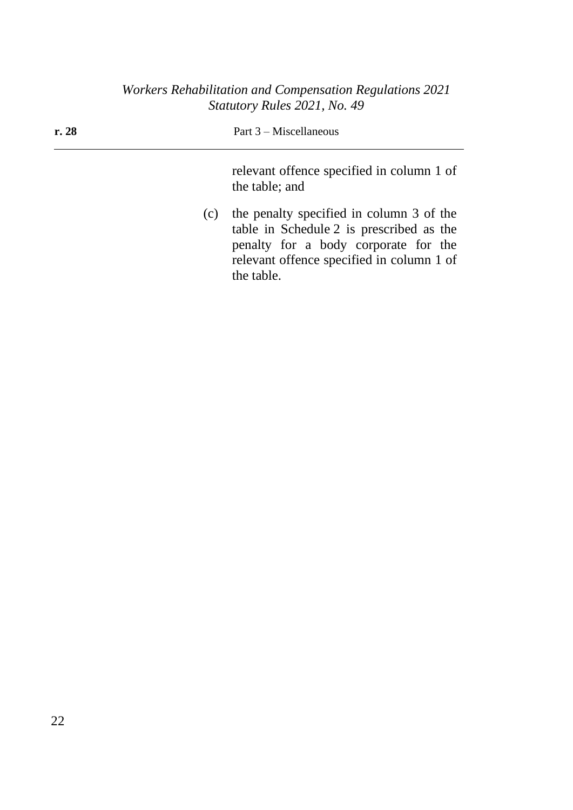| r.28 | Part $3$ – Miscellaneous                                                                                                                                                                |
|------|-----------------------------------------------------------------------------------------------------------------------------------------------------------------------------------------|
|      | relevant offence specified in column 1 of<br>the table; and                                                                                                                             |
| (c)  | the penalty specified in column 3 of the<br>table in Schedule 2 is prescribed as the<br>penalty for a body corporate for the<br>relevant offence specified in column 1 of<br>the table. |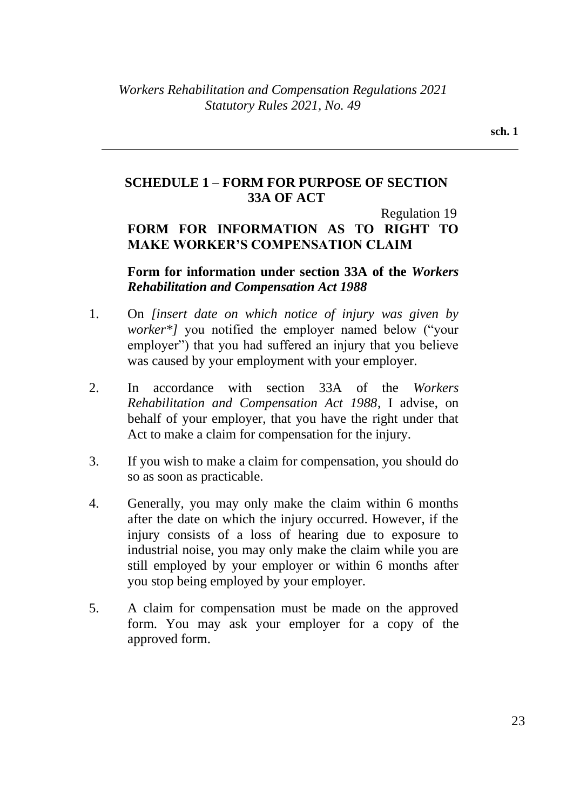## **SCHEDULE 1 – FORM FOR PURPOSE OF SECTION 33A OF ACT**

Regulation 19

# **FORM FOR INFORMATION AS TO RIGHT TO MAKE WORKER'S COMPENSATION CLAIM**

## **Form for information under section 33A of the** *Workers Rehabilitation and Compensation Act 1988*

- 1. On *[insert date on which notice of injury was given by worker\*]* you notified the employer named below ("your employer") that you had suffered an injury that you believe was caused by your employment with your employer.
- 2. In accordance with section 33A of the *Workers Rehabilitation and Compensation Act 1988*, I advise, on behalf of your employer, that you have the right under that Act to make a claim for compensation for the injury.
- 3. If you wish to make a claim for compensation, you should do so as soon as practicable.
- 4. Generally, you may only make the claim within 6 months after the date on which the injury occurred. However, if the injury consists of a loss of hearing due to exposure to industrial noise, you may only make the claim while you are still employed by your employer or within 6 months after you stop being employed by your employer.
- 5. A claim for compensation must be made on the approved form. You may ask your employer for a copy of the approved form.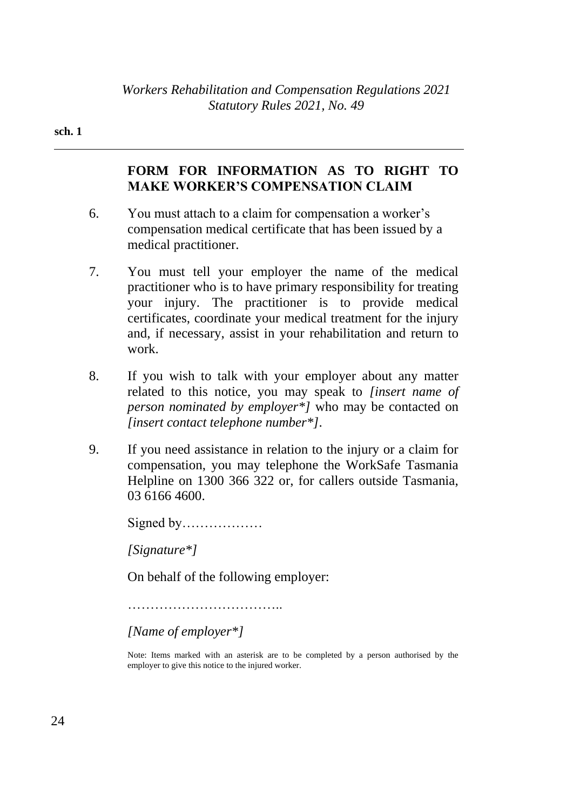#### **sch. 1**

## **FORM FOR INFORMATION AS TO RIGHT TO MAKE WORKER'S COMPENSATION CLAIM**

- 6. You must attach to a claim for compensation a worker's compensation medical certificate that has been issued by a medical practitioner.
- 7. You must tell your employer the name of the medical practitioner who is to have primary responsibility for treating your injury. The practitioner is to provide medical certificates, coordinate your medical treatment for the injury and, if necessary, assist in your rehabilitation and return to work.
- 8. If you wish to talk with your employer about any matter related to this notice, you may speak to *[insert name of person nominated by employer\*]* who may be contacted on *[insert contact telephone number\*]*.
- 9. If you need assistance in relation to the injury or a claim for compensation, you may telephone the WorkSafe Tasmania Helpline on 1300 366 322 or, for callers outside Tasmania, 03 6166 4600.

Signed by………………

*[Signature\*]*

On behalf of the following employer:

……………………………………………

*[Name of employer\*]*

Note: Items marked with an asterisk are to be completed by a person authorised by the employer to give this notice to the injured worker.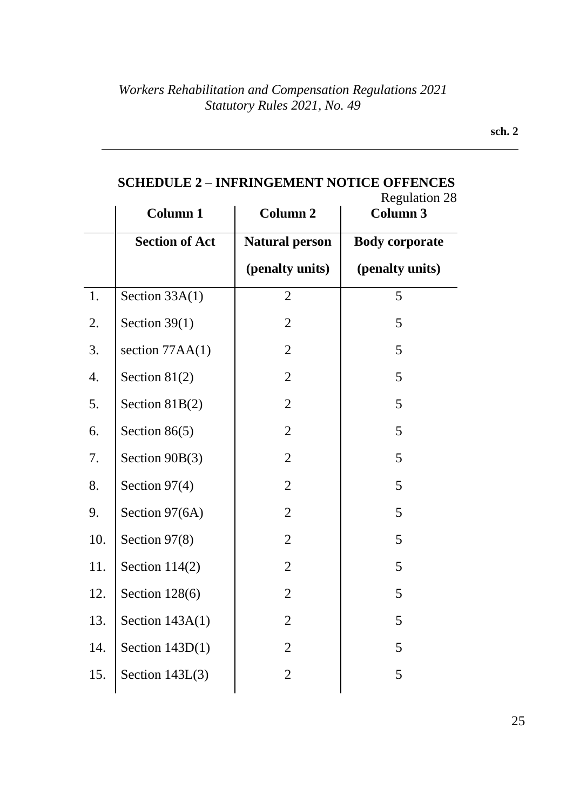|     | <b>Column 1</b>       | <b>Column 2</b>       | <b>Regulation 28</b><br><b>Column 3</b> |
|-----|-----------------------|-----------------------|-----------------------------------------|
|     | <b>Section of Act</b> | <b>Natural person</b> | <b>Body corporate</b>                   |
|     |                       | (penalty units)       | (penalty units)                         |
| 1.  | Section 33A(1)        | $\overline{2}$        | 5                                       |
| 2.  | Section $39(1)$       | $\overline{2}$        | 5                                       |
| 3.  | section $77AA(1)$     | $\overline{2}$        | 5                                       |
| 4.  | Section $81(2)$       | $\overline{2}$        | 5                                       |
| 5.  | Section $81B(2)$      | $\overline{2}$        | 5                                       |
| 6.  | Section $86(5)$       | $\overline{2}$        | 5                                       |
| 7.  | Section 90B(3)        | $\overline{2}$        | 5                                       |
| 8.  | Section 97(4)         | $\overline{2}$        | 5                                       |
| 9.  | Section 97(6A)        | $\overline{2}$        | 5                                       |
| 10. | Section 97(8)         | $\overline{2}$        | 5                                       |
| 11. | Section $114(2)$      | $\overline{2}$        | 5                                       |
| 12. | Section 128(6)        | $\overline{2}$        | 5                                       |
| 13. | Section $143A(1)$     | $\overline{2}$        | 5                                       |
| 14. | Section $143D(1)$     | $\overline{2}$        | 5                                       |
| 15. | Section $143L(3)$     | $\mathfrak{2}$        | 5                                       |

## **SCHEDULE 2 – INFRINGEMENT NOTICE OFFENCES**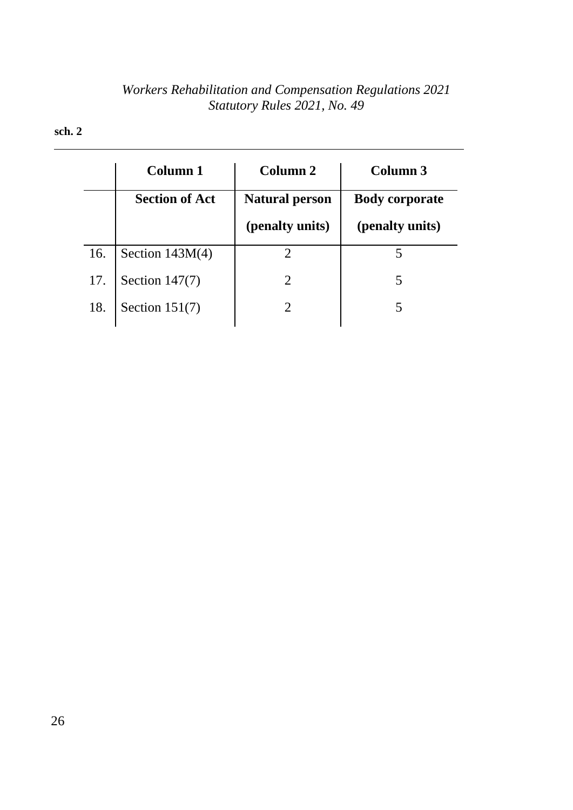#### **sch. 2**

|     | <b>Column 1</b>       | Column <sub>2</sub>   | Column 3              |
|-----|-----------------------|-----------------------|-----------------------|
|     | <b>Section of Act</b> | <b>Natural person</b> | <b>Body corporate</b> |
|     |                       | (penalty units)       | (penalty units)       |
| 16. | Section $143M(4)$     |                       |                       |
| 17. | Section $147(7)$      |                       | 5                     |
| 18. | Section $151(7)$      |                       |                       |